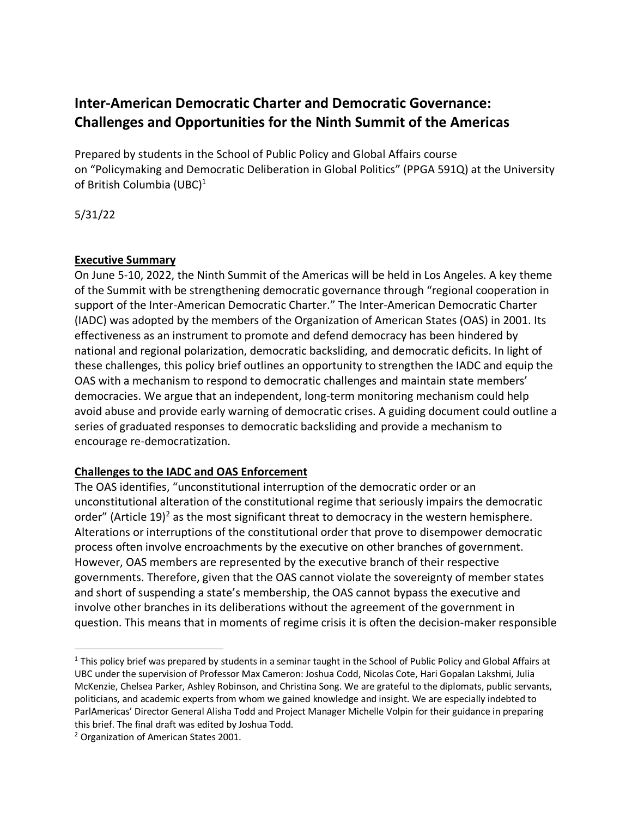# **Inter-American Democratic Charter and Democratic Governance: Challenges and Opportunities for the Ninth Summit of the Americas**

Prepared by students in the School of Public Policy and Global Affairs course on "Policymaking and Democratic Deliberation in Global Politics" (PPGA 591Q) at the University of British Columbia (UBC)<sup>1</sup>

5/31/22

#### **Executive Summary**

On June 5-10, 2022, the Ninth Summit of the Americas will be held in Los Angeles. A key theme of the Summit with be strengthening democratic governance through "regional cooperation in support of the Inter-American Democratic Charter." The Inter-American Democratic Charter (IADC) was adopted by the members of the Organization of American States (OAS) in 2001. Its effectiveness as an instrument to promote and defend democracy has been hindered by national and regional polarization, democratic backsliding, and democratic deficits. In light of these challenges, this policy brief outlines an opportunity to strengthen the IADC and equip the OAS with a mechanism to respond to democratic challenges and maintain state members' democracies. We argue that an independent, long-term monitoring mechanism could help avoid abuse and provide early warning of democratic crises. A guiding document could outline a series of graduated responses to democratic backsliding and provide a mechanism to encourage re-democratization.

## **Challenges to the IADC and OAS Enforcement**

The OAS identifies, "unconstitutional interruption of the democratic order or an unconstitutional alteration of the constitutional regime that seriously impairs the democratic order" (Article 19)<sup>2</sup> as the most significant threat to democracy in the western hemisphere. Alterations or interruptions of the constitutional order that prove to disempower democratic process often involve encroachments by the executive on other branches of government. However, OAS members are represented by the executive branch of their respective governments. Therefore, given that the OAS cannot violate the sovereignty of member states and short of suspending a state's membership, the OAS cannot bypass the executive and involve other branches in its deliberations without the agreement of the government in question. This means that in moments of regime crisis it is often the decision-maker responsible

 $1$  This policy brief was prepared by students in a seminar taught in the School of Public Policy and Global Affairs at UBC under the supervision of Professor Max Cameron: Joshua Codd, Nicolas Cote, Hari Gopalan Lakshmi, Julia McKenzie, Chelsea Parker, Ashley Robinson, and Christina Song. We are grateful to the diplomats, public servants, politicians, and academic experts from whom we gained knowledge and insight. We are especially indebted to ParlAmericas' Director General Alisha Todd and Project Manager Michelle Volpin for their guidance in preparing this brief. The final draft was edited by Joshua Todd.

<sup>2</sup> Organization of American States 2001.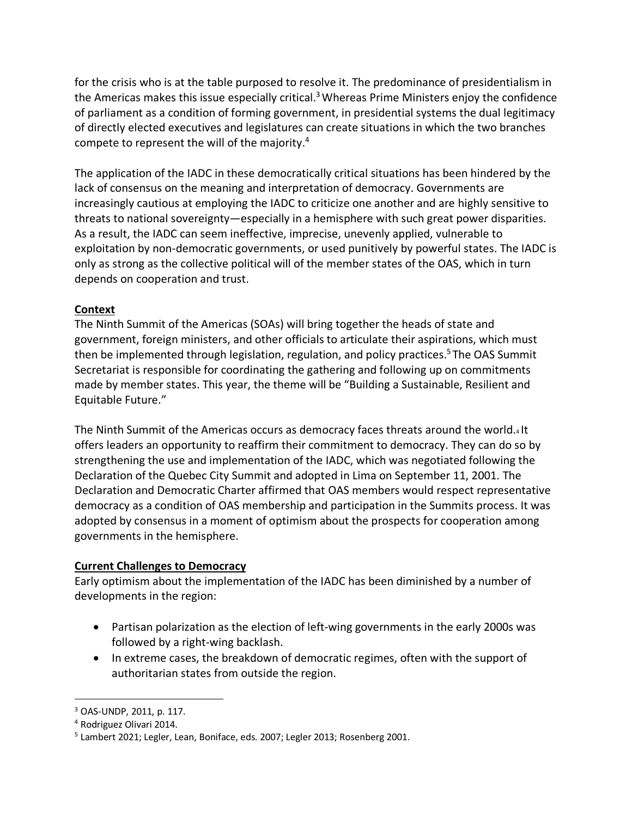for the crisis who is at the table purposed to resolve it. The predominance of presidentialism in the Americas makes this issue especially critical.<sup>3</sup> Whereas Prime Ministers enjoy the confidence of parliament as a condition of forming government, in presidential systems the dual legitimacy of directly elected executives and legislatures can create situations in which the two branches compete to represent the will of the majority.4

The application of the IADC in these democratically critical situations has been hindered by the lack of consensus on the meaning and interpretation of democracy. Governments are increasingly cautious at employing the IADC to criticize one another and are highly sensitive to threats to national sovereignty—especially in a hemisphere with such great power disparities. As a result, the IADC can seem ineffective, imprecise, unevenly applied, vulnerable to exploitation by non-democratic governments, or used punitively by powerful states. The IADC is only as strong as the collective political will of the member states of the OAS, which in turn depends on cooperation and trust.

## **Context**

The Ninth Summit of the Americas (SOAs) will bring together the heads of state and government, foreign ministers, and other officials to articulate their aspirations, which must then be implemented through legislation, regulation, and policy practices.<sup>5</sup> The OAS Summit Secretariat is responsible for coordinating the gathering and following up on commitments made by member states. This year, the theme will be "Building a Sustainable, Resilient and Equitable Future."

The Ninth Summit of the Americas occurs as democracy faces threats around the world.4 It offers leaders an opportunity to reaffirm their commitment to democracy. They can do so by strengthening the use and implementation of the IADC, which was negotiated following the Declaration of the Quebec City Summit and adopted in Lima on September 11, 2001. The Declaration and Democratic Charter affirmed that OAS members would respect representative democracy as a condition of OAS membership and participation in the Summits process. It was adopted by consensus in a moment of optimism about the prospects for cooperation among governments in the hemisphere.

#### **Current Challenges to Democracy**

Early optimism about the implementation of the IADC has been diminished by a number of developments in the region:

- Partisan polarization as the election of left-wing governments in the early 2000s was followed by a right-wing backlash.
- In extreme cases, the breakdown of democratic regimes, often with the support of authoritarian states from outside the region.

 <sup>3</sup> OAS-UNDP, 2011, p. 117.

<sup>4</sup> Rodriguez Olivari 2014.

<sup>&</sup>lt;sup>5</sup> Lambert 2021; Legler, Lean, Boniface, eds. 2007; Legler 2013; Rosenberg 2001.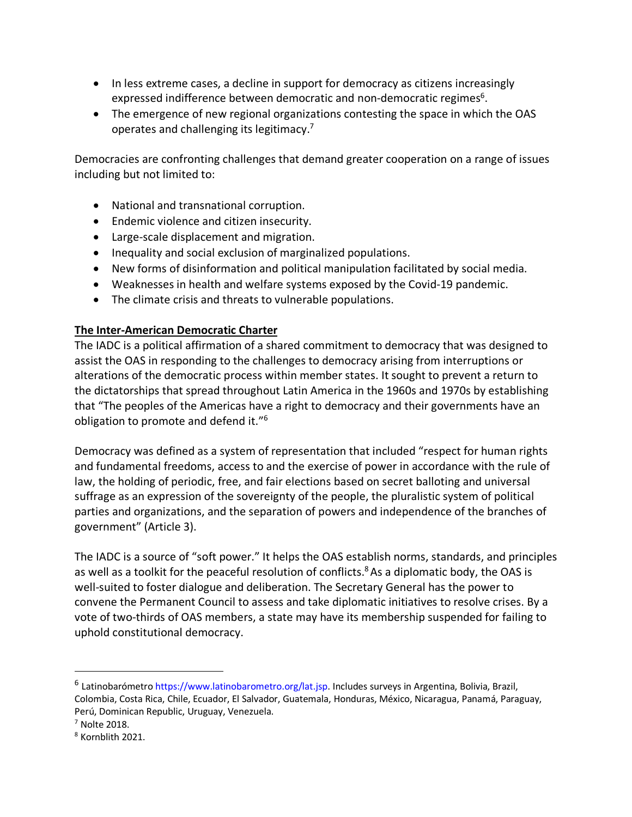- In less extreme cases, a decline in support for democracy as citizens increasingly expressed indifference between democratic and non-democratic regimes<sup>6</sup>.
- The emergence of new regional organizations contesting the space in which the OAS operates and challenging its legitimacy.7

Democracies are confronting challenges that demand greater cooperation on a range of issues including but not limited to:

- National and transnational corruption.
- Endemic violence and citizen insecurity.
- Large-scale displacement and migration.
- Inequality and social exclusion of marginalized populations.
- New forms of disinformation and political manipulation facilitated by social media.
- Weaknesses in health and welfare systems exposed by the Covid-19 pandemic.
- The climate crisis and threats to vulnerable populations.

#### **The Inter-American Democratic Charter**

The IADC is a political affirmation of a shared commitment to democracy that was designed to assist the OAS in responding to the challenges to democracy arising from interruptions or alterations of the democratic process within member states. It sought to prevent a return to the dictatorships that spread throughout Latin America in the 1960s and 1970s by establishing that "The peoples of the Americas have a right to democracy and their governments have an obligation to promote and defend it."6

Democracy was defined as a system of representation that included "respect for human rights and fundamental freedoms, access to and the exercise of power in accordance with the rule of law, the holding of periodic, free, and fair elections based on secret balloting and universal suffrage as an expression of the sovereignty of the people, the pluralistic system of political parties and organizations, and the separation of powers and independence of the branches of government" (Article 3).

The IADC is a source of "soft power." It helps the OAS establish norms, standards, and principles as well as a toolkit for the peaceful resolution of conflicts.<sup>8</sup> As a diplomatic body, the OAS is well-suited to foster dialogue and deliberation. The Secretary General has the power to convene the Permanent Council to assess and take diplomatic initiatives to resolve crises. By a vote of two-thirds of OAS members, a state may have its membership suspended for failing to uphold constitutional democracy.

 <sup>6</sup> Latinobarómetro https://www.latinobarometro.org/lat.jsp. Includes surveys in Argentina, Bolivia, Brazil, Colombia, Costa Rica, Chile, Ecuador, El Salvador, Guatemala, Honduras, México, Nicaragua, Panamá, Paraguay, Perú, Dominican Republic, Uruguay, Venezuela.

<sup>7</sup> Nolte 2018.

<sup>8</sup> Kornblith 2021.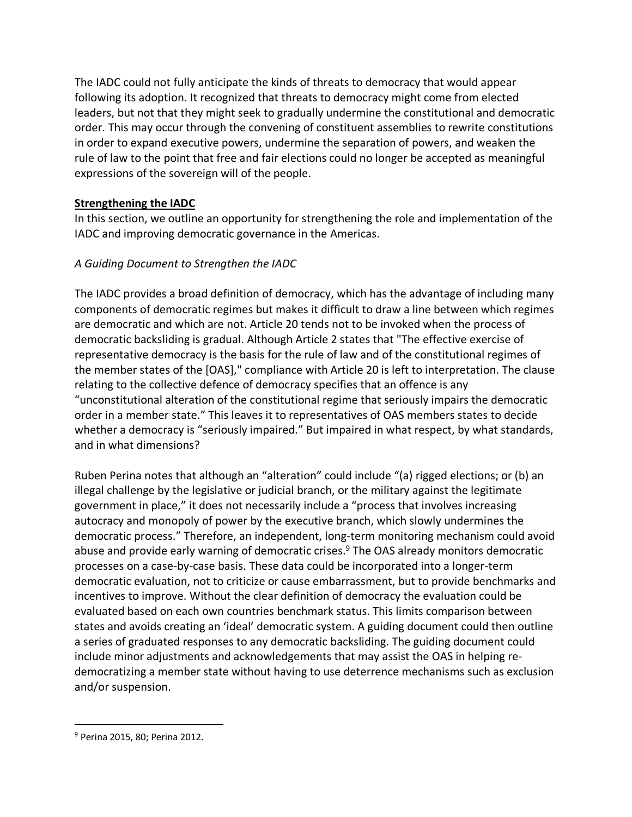The IADC could not fully anticipate the kinds of threats to democracy that would appear following its adoption. It recognized that threats to democracy might come from elected leaders, but not that they might seek to gradually undermine the constitutional and democratic order. This may occur through the convening of constituent assemblies to rewrite constitutions in order to expand executive powers, undermine the separation of powers, and weaken the rule of law to the point that free and fair elections could no longer be accepted as meaningful expressions of the sovereign will of the people.

## **Strengthening the IADC**

In this section, we outline an opportunity for strengthening the role and implementation of the IADC and improving democratic governance in the Americas.

## *A Guiding Document to Strengthen the IADC*

The IADC provides a broad definition of democracy, which has the advantage of including many components of democratic regimes but makes it difficult to draw a line between which regimes are democratic and which are not. Article 20 tends not to be invoked when the process of democratic backsliding is gradual. Although Article 2 states that "The effective exercise of representative democracy is the basis for the rule of law and of the constitutional regimes of the member states of the [OAS]," compliance with Article 20 is left to interpretation. The clause relating to the collective defence of democracy specifies that an offence is any "unconstitutional alteration of the constitutional regime that seriously impairs the democratic order in a member state." This leaves it to representatives of OAS members states to decide whether a democracy is "seriously impaired." But impaired in what respect, by what standards, and in what dimensions?

Ruben Perina notes that although an "alteration" could include "(a) rigged elections; or (b) an illegal challenge by the legislative or judicial branch, or the military against the legitimate government in place," it does not necessarily include a "process that involves increasing autocracy and monopoly of power by the executive branch, which slowly undermines the democratic process." Therefore, an independent, long-term monitoring mechanism could avoid abuse and provide early warning of democratic crises. <sup>9</sup> The OAS already monitors democratic processes on a case-by-case basis. These data could be incorporated into a longer-term democratic evaluation, not to criticize or cause embarrassment, but to provide benchmarks and incentives to improve. Without the clear definition of democracy the evaluation could be evaluated based on each own countries benchmark status. This limits comparison between states and avoids creating an 'ideal' democratic system. A guiding document could then outline a series of graduated responses to any democratic backsliding. The guiding document could include minor adjustments and acknowledgements that may assist the OAS in helping redemocratizing a member state without having to use deterrence mechanisms such as exclusion and/or suspension.

 <sup>9</sup> Perina 2015, 80; Perina 2012.